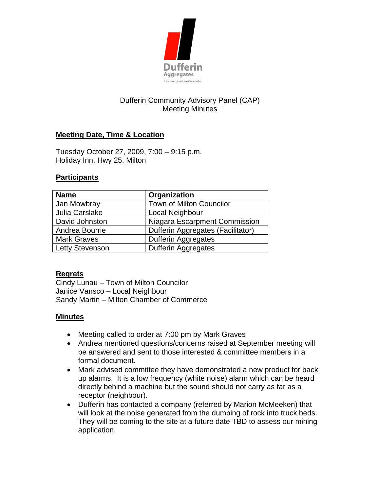

# Dufferin Community Advisory Panel (CAP) Meeting Minutes

## **Meeting Date, Time & Location**

Tuesday October 27, 2009, 7:00 – 9:15 p.m. Holiday Inn, Hwy 25, Milton

#### **Participants**

| <b>Name</b>        | Organization                      |
|--------------------|-----------------------------------|
| Jan Mowbray        | <b>Town of Milton Councilor</b>   |
| Julia Carslake     | Local Neighbour                   |
| David Johnston     | Niagara Escarpment Commission     |
| Andrea Bourrie     | Dufferin Aggregates (Facilitator) |
| <b>Mark Graves</b> | <b>Dufferin Aggregates</b>        |
| Letty Stevenson    | <b>Dufferin Aggregates</b>        |

#### **Regrets**

Cindy Lunau – Town of Milton Councilor Janice Vansco – Local Neighbour Sandy Martin – Milton Chamber of Commerce

#### **Minutes**

- Meeting called to order at 7:00 pm by Mark Graves
- Andrea mentioned questions/concerns raised at September meeting will be answered and sent to those interested & committee members in a formal document.
- Mark advised committee they have demonstrated a new product for back up alarms. It is a low frequency (white noise) alarm which can be heard directly behind a machine but the sound should not carry as far as a receptor (neighbour).
- Dufferin has contacted a company (referred by Marion McMeeken) that will look at the noise generated from the dumping of rock into truck beds. They will be coming to the site at a future date TBD to assess our mining application.